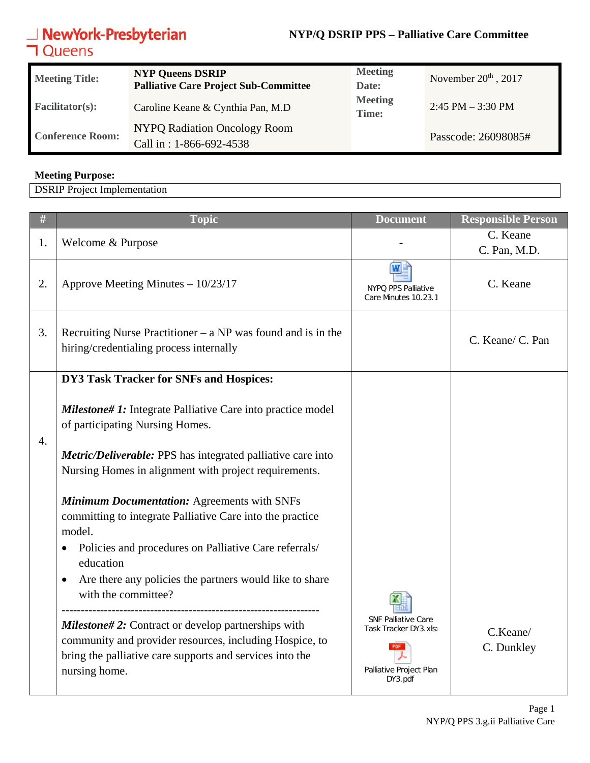# **NewYork-Presbyterian**<br>**コ**Queens

### **NYP/Q DSRIP PPS – Palliative Care Committee**

| <b>Meeting Title:</b>   | <b>NYP Queens DSRIP</b><br><b>Palliative Care Project Sub-Committee</b> | <b>Meeting</b><br>Date: | November $20th$ , 2017 |
|-------------------------|-------------------------------------------------------------------------|-------------------------|------------------------|
| <b>Facilitator(s):</b>  | Caroline Keane & Cynthia Pan, M.D                                       | <b>Meeting</b><br>Time: | $2:45$ PM $-3:30$ PM   |
| <b>Conference Room:</b> | <b>NYPQ Radiation Oncology Room</b><br>Call in: 1-866-692-4538          |                         | Passcode: 26098085#    |

#### **Meeting Purpose:**

DSRIP Project Implementation

| $\#$             | <b>Topic</b>                                                                                                                                                                                      | <b>Document</b>                                                                           | <b>Responsible Person</b> |
|------------------|---------------------------------------------------------------------------------------------------------------------------------------------------------------------------------------------------|-------------------------------------------------------------------------------------------|---------------------------|
| 1.               | Welcome & Purpose                                                                                                                                                                                 |                                                                                           | C. Keane<br>C. Pan, M.D.  |
| 2.               | Approve Meeting Minutes - 10/23/17                                                                                                                                                                | NYPQ PPS Palliative<br>Care Minutes 10.23.1                                               | C. Keane                  |
| 3.               | Recruiting Nurse Practitioner $-$ a NP was found and is in the<br>hiring/credentialing process internally                                                                                         |                                                                                           | C. Keane/ C. Pan          |
|                  | DY3 Task Tracker for SNFs and Hospices:                                                                                                                                                           |                                                                                           |                           |
| $\overline{4}$ . | <b>Milestone#1:</b> Integrate Palliative Care into practice model<br>of participating Nursing Homes.                                                                                              |                                                                                           |                           |
|                  | <b>Metric/Deliverable:</b> PPS has integrated palliative care into<br>Nursing Homes in alignment with project requirements.                                                                       |                                                                                           |                           |
|                  | <b>Minimum Documentation: Agreements with SNFs</b><br>committing to integrate Palliative Care into the practice<br>model.                                                                         |                                                                                           |                           |
|                  | Policies and procedures on Palliative Care referrals/<br>education                                                                                                                                |                                                                                           |                           |
|                  | Are there any policies the partners would like to share<br>$\bullet$<br>with the committee?                                                                                                       |                                                                                           |                           |
|                  | <b>Milestone#2:</b> Contract or develop partnerships with<br>community and provider resources, including Hospice, to<br>bring the palliative care supports and services into the<br>nursing home. | <b>SNF Palliative Care</b><br>Task Tracker DY3.xls)<br>Palliative Project Plan<br>DY3.pdf | C.Keane/<br>C. Dunkley    |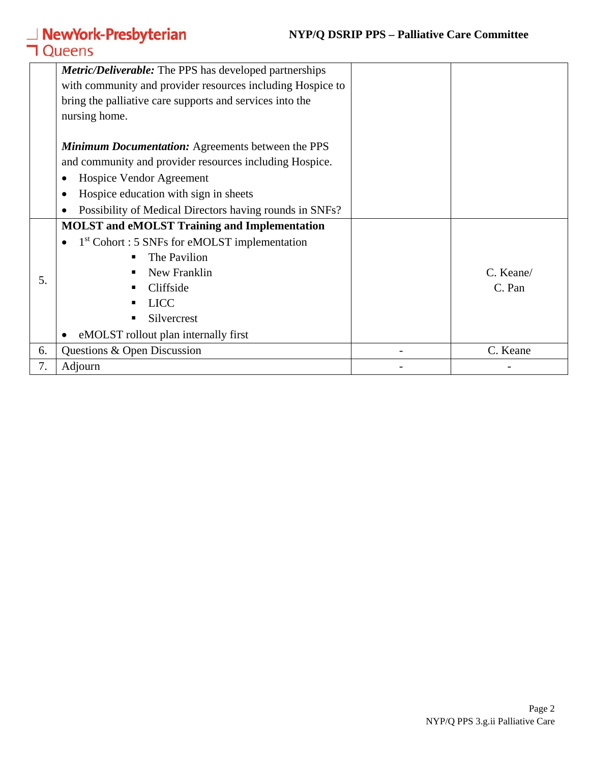### **NYP/Q DSRIP PPS – Palliative Care Committee**

# **NewYork-Presbyterian**<br>**コ**Queens

|    | <b>Metric/Deliverable:</b> The PPS has developed partnerships |           |
|----|---------------------------------------------------------------|-----------|
|    | with community and provider resources including Hospice to    |           |
|    | bring the palliative care supports and services into the      |           |
|    | nursing home.                                                 |           |
|    |                                                               |           |
|    | <b>Minimum Documentation:</b> Agreements between the PPS      |           |
|    | and community and provider resources including Hospice.       |           |
|    | Hospice Vendor Agreement                                      |           |
|    | Hospice education with sign in sheets                         |           |
|    | Possibility of Medical Directors having rounds in SNFs?       |           |
|    | <b>MOLST</b> and eMOLST Training and Implementation           |           |
|    | 1 <sup>st</sup> Cohort : 5 SNFs for eMOLST implementation     |           |
| 5. | The Pavilion                                                  |           |
|    | New Franklin                                                  | C. Keane/ |
|    | Cliffside                                                     | C. Pan    |
|    | <b>LICC</b>                                                   |           |
|    | Silvercrest<br>п                                              |           |
|    | eMOLST rollout plan internally first                          |           |
| 6. | Questions & Open Discussion                                   | C. Keane  |
| 7. | Adjourn                                                       |           |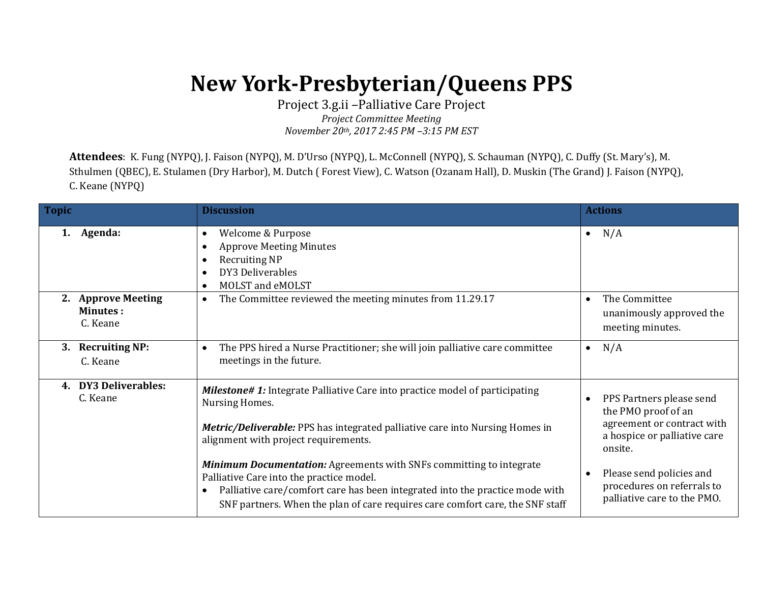## **New York-Presbyterian/Queens PPS**

Project 3.g.ii –Palliative Care Project *Project Committee Meeting November 20th, 2017 2:45 PM –3:15 PM EST*

**Attendees**: K. Fung (NYPQ), J. Faison (NYPQ), M. D'Urso (NYPQ), L. McConnell (NYPQ), S. Schauman (NYPQ), C. Duffy (St. Mary's), M. Sthulmen (QBEC), E. Stulamen (Dry Harbor), M. Dutch ( Forest View), C. Watson (Ozanam Hall), D. Muskin (The Grand) J. Faison (NYPQ), C. Keane (NYPQ)

| <b>Topic</b>                                      | <b>Discussion</b>                                                                                                                                                                                                                                                                       | <b>Actions</b>                                                                                                                        |
|---------------------------------------------------|-----------------------------------------------------------------------------------------------------------------------------------------------------------------------------------------------------------------------------------------------------------------------------------------|---------------------------------------------------------------------------------------------------------------------------------------|
| Agenda:<br>1.                                     | Welcome & Purpose<br>$\bullet$<br><b>Approve Meeting Minutes</b><br><b>Recruiting NP</b><br>DY3 Deliverables<br>MOLST and eMOLST                                                                                                                                                        | N/A<br>$\bullet$                                                                                                                      |
| 2. Approve Meeting<br><b>Minutes:</b><br>C. Keane | The Committee reviewed the meeting minutes from 11.29.17<br>$\bullet$                                                                                                                                                                                                                   | The Committee<br>$\bullet$<br>unanimously approved the<br>meeting minutes.                                                            |
| <b>Recruiting NP:</b><br>3.<br>C. Keane           | The PPS hired a Nurse Practitioner; she will join palliative care committee<br>meetings in the future.                                                                                                                                                                                  | N/A<br>$\bullet$                                                                                                                      |
| <b>DY3 Deliverables:</b><br>4.<br>C. Keane        | <b>Milestone#1:</b> Integrate Palliative Care into practice model of participating<br>Nursing Homes.<br><b>Metric/Deliverable:</b> PPS has integrated palliative care into Nursing Homes in<br>alignment with project requirements.                                                     | PPS Partners please send<br>$\bullet$<br>the PMO proof of an<br>agreement or contract with<br>a hospice or palliative care<br>onsite. |
|                                                   | <b>Minimum Documentation:</b> Agreements with SNFs committing to integrate<br>Palliative Care into the practice model.<br>Palliative care/comfort care has been integrated into the practice mode with<br>SNF partners. When the plan of care requires care comfort care, the SNF staff | Please send policies and<br>$\bullet$<br>procedures on referrals to<br>palliative care to the PMO.                                    |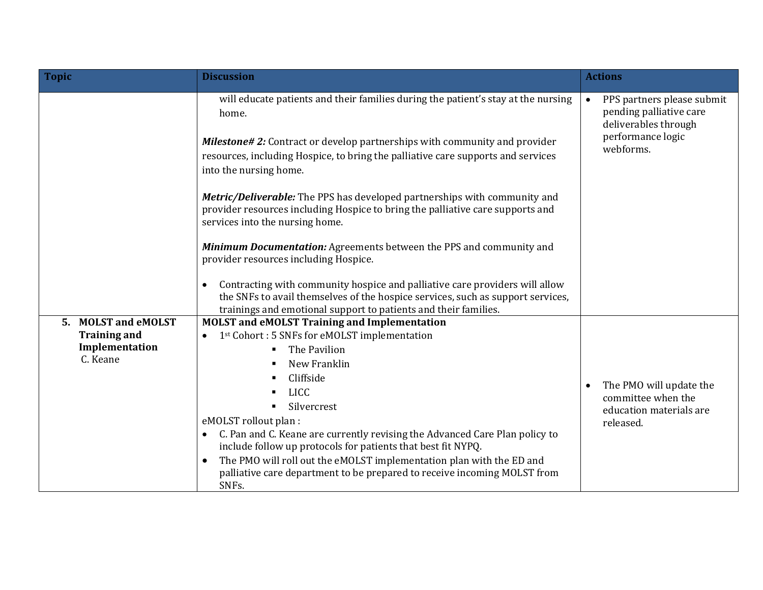| <b>Topic</b>                                                                       | <b>Discussion</b>                                                                                                                                                                                                                                                                                                                                                                                                                                                                                                                                                                                                                                                                                                                                                                                                                                                 | <b>Actions</b>                                                                                                               |
|------------------------------------------------------------------------------------|-------------------------------------------------------------------------------------------------------------------------------------------------------------------------------------------------------------------------------------------------------------------------------------------------------------------------------------------------------------------------------------------------------------------------------------------------------------------------------------------------------------------------------------------------------------------------------------------------------------------------------------------------------------------------------------------------------------------------------------------------------------------------------------------------------------------------------------------------------------------|------------------------------------------------------------------------------------------------------------------------------|
|                                                                                    | will educate patients and their families during the patient's stay at the nursing<br>home.<br><b>Milestone# 2:</b> Contract or develop partnerships with community and provider<br>resources, including Hospice, to bring the palliative care supports and services<br>into the nursing home.<br>Metric/Deliverable: The PPS has developed partnerships with community and<br>provider resources including Hospice to bring the palliative care supports and<br>services into the nursing home.<br>Minimum Documentation: Agreements between the PPS and community and<br>provider resources including Hospice.<br>Contracting with community hospice and palliative care providers will allow<br>$\bullet$<br>the SNFs to avail themselves of the hospice services, such as support services,<br>trainings and emotional support to patients and their families. | PPS partners please submit<br>$\bullet$<br>pending palliative care<br>deliverables through<br>performance logic<br>webforms. |
| <b>MOLST and eMOLST</b><br>5.<br><b>Training and</b><br>Implementation<br>C. Keane | <b>MOLST</b> and eMOLST Training and Implementation<br>1st Cohort : 5 SNFs for eMOLST implementation<br>The Pavilion<br>٠<br>New Franklin<br>Cliffside<br><b>LICC</b><br>Silvercrest<br>$\blacksquare$<br>eMOLST rollout plan :<br>C. Pan and C. Keane are currently revising the Advanced Care Plan policy to<br>$\bullet$<br>include follow up protocols for patients that best fit NYPQ.<br>The PMO will roll out the eMOLST implementation plan with the ED and<br>palliative care department to be prepared to receive incoming MOLST from<br>SNFs.                                                                                                                                                                                                                                                                                                          | The PMO will update the<br>$\bullet$<br>committee when the<br>education materials are<br>released.                           |